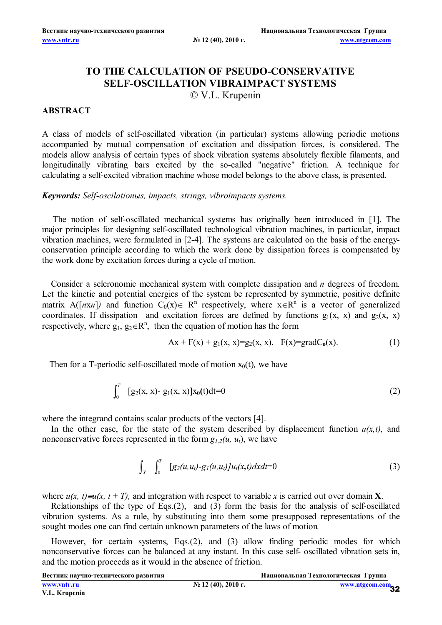## **TO THE CALCULATION OF PSEUDO-CONSERVATIVE SELF-OSCILLATION VIBRAIMPACT SYSTEMS**

## © V.L. Krupenin

## **ABSTRACT**

A class of models of self-oscillated vibration (in particular) systems allowing periodic motions accompanied by mutual compensation of excitation and dissipation forces, is considered. The models allow analysis of certain types of shock vibration systems absolutely flexible filaments, and longitudinally vibrating bars excited by the so-called "negative" friction. A technique for calculating a self-excited vibration machine whose model belongs to the above class, is presented.

*Keywords: Self-oscilationыs, impacts, strings, vibroimpacts systems.*

The notion of self-oscillated mechanical systems has originally been introduced in [1]. The major principles for designing self-oscillated technological vibration machines, in particular, impact vibration machines, were formulated in [2-4]. The systems are calculated on the basis of the energyconservation principle according to which the work done by dissipation forces is compensated by the work done by excitation forces during a cycle of motion.

Consider a scleronomic mechanical system with complete dissipation and *n* degrees of freedom. Let the kinetic and potential energies of the system be represented by symmetric, positive definite matrix A([*nxn*]) and function  $C_0(x) \in R^n$  respectively, where  $x \in R^n$  is a vector of generalized coordinates. If dissipation and excitation forces are defined by functions  $g_1(x, x)$  and  $g_2(x, x)$ respectively, where  $g_1, g_2 \in R^n$ , then the equation of motion has the form

$$
Ax + F(x) + g_1(x, x) = g_2(x, x), F(x) = gradC_0(x).
$$
 (1)

Then for a T-periodic self-oscillated mode of motion  $x_0(t)$ *, we have* 

$$
\int_0^T \left[ g_2(x, x) - g_1(x, x) \right] x_0(t) dt = 0 \tag{2}
$$

where the integrand contains scalar products of the vectors [4].

In the other case, for the state of the system described by displacement function  $u(x,t)$ , and nonconscrvative forces represented in the form  $g_{1,2}(u, u_t)$ , we have

$$
\int_{X} \int_{0}^{T} [g_2(u, u_t) - g_1(u, u_t)] u_t(x, t) dx dt = 0 \tag{3}
$$

where  $u(x, t) = u(x, t + T)$ , and integration with respect to variable x is carried out over domain **X**.

Relationships of the type of Eqs.(2), and (3) form the basis for the analysis of self-oscillated vibration systems. As a rule, by substituting into them some presupposed representations of the sought modes one can find certain unknown parameters of the laws of motion*.*

However, for certain systems, Eqs.(2), and (3) allow finding periodic modes for which nonconservative forces can be balanced at any instant. In this case self- oscillated vibration sets in, and the motion proceeds as it would in the absence of friction.

**Вестник научно-технического развития Национальная Технологическая Группа**